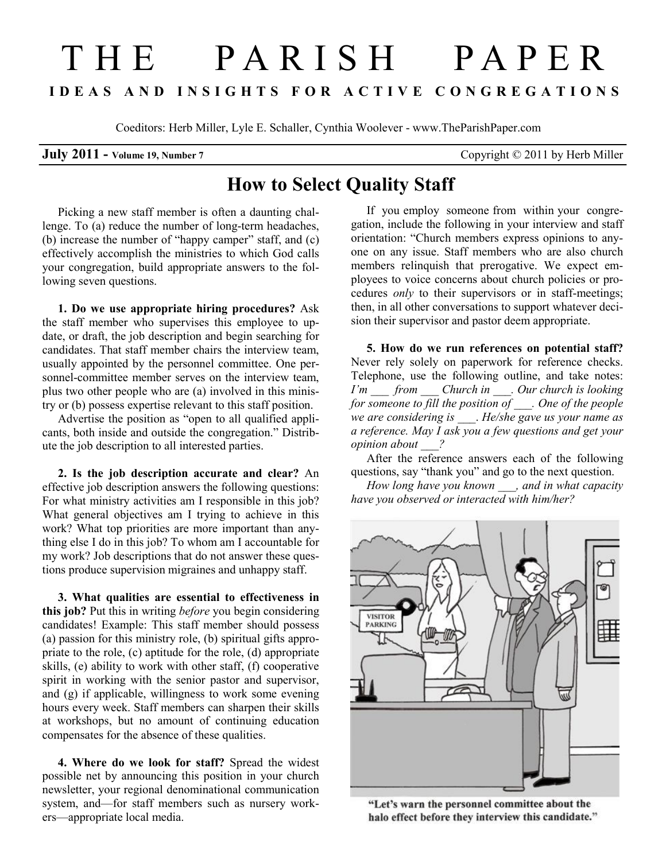## T H E P A R I S H P A P E R I D E A S A N D I N S I G H T S F O R A C T I V E C O N G R E G A T I O N S

Coeditors: Herb Miller, Lyle E. Schaller, Cynthia Woolever - www.TheParishPaper.com

**July 2011** - Volume 19, Number 7 Copyright © 2011 by Herb Miller

## How to Select Quality Staff

Picking a new staff member is often a daunting challenge. To (a) reduce the number of long-term headaches, (b) increase the number of "happy camper" staff, and (c) effectively accomplish the ministries to which God calls your congregation, build appropriate answers to the following seven questions.

1. Do we use appropriate hiring procedures? Ask the staff member who supervises this employee to update, or draft, the job description and begin searching for candidates. That staff member chairs the interview team, usually appointed by the personnel committee. One personnel-committee member serves on the interview team, plus two other people who are (a) involved in this ministry or (b) possess expertise relevant to this staff position.

Advertise the position as "open to all qualified applicants, both inside and outside the congregation." Distribute the job description to all interested parties.

2. Is the job description accurate and clear? An effective job description answers the following questions: For what ministry activities am I responsible in this job? What general objectives am I trying to achieve in this work? What top priorities are more important than anything else I do in this job? To whom am I accountable for my work? Job descriptions that do not answer these questions produce supervision migraines and unhappy staff.

3. What qualities are essential to effectiveness in this job? Put this in writing *before* you begin considering candidates! Example: This staff member should possess (a) passion for this ministry role, (b) spiritual gifts appropriate to the role, (c) aptitude for the role, (d) appropriate skills, (e) ability to work with other staff, (f) cooperative spirit in working with the senior pastor and supervisor, and (g) if applicable, willingness to work some evening hours every week. Staff members can sharpen their skills at workshops, but no amount of continuing education compensates for the absence of these qualities.

4. Where do we look for staff? Spread the widest possible net by announcing this position in your church newsletter, your regional denominational communication system, and—for staff members such as nursery workers—appropriate local media.

If you employ someone from within your congregation, include the following in your interview and staff orientation: "Church members express opinions to anyone on any issue. Staff members who are also church members relinquish that prerogative. We expect employees to voice concerns about church policies or procedures only to their supervisors or in staff-meetings; then, in all other conversations to support whatever decision their supervisor and pastor deem appropriate.

5. How do we run references on potential staff? Never rely solely on paperwork for reference checks. Telephone, use the following outline, and take notes:  $I'm$  from Church in . Our church is looking for someone to fill the position of  $\Box$ . One of the people we are considering is \_\_\_\_. He/she gave us your name as a reference. May I ask you a few questions and get your opinion about 2

After the reference answers each of the following questions, say "thank you" and go to the next question.

How long have you known \_\_\_, and in what capacity have you observed or interacted with him/her?



"Let's warn the personnel committee about the halo effect before they interview this candidate."